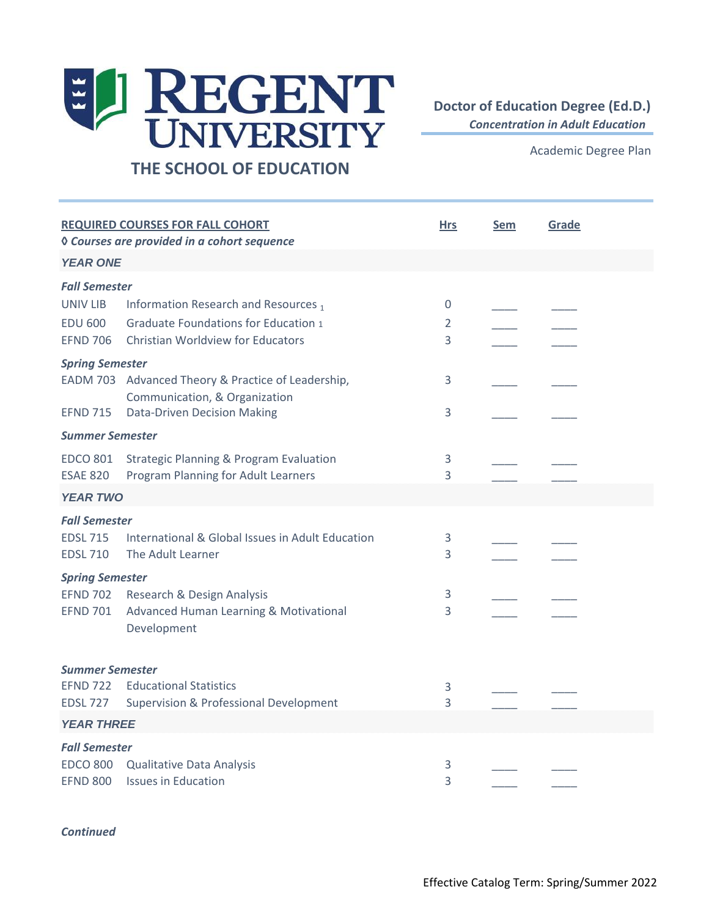## EL REGENT

## **THE SCHOOL OF EDUCATION**

**Doctor of Education Degree (Ed.D.)**

*Concentration in Adult Education* 

Academic Degree Plan

| <b>REQUIRED COURSES FOR FALL COHORT</b><br><b><i><u>O Courses are provided in a cohort sequence</u></i></b> |                                                                     | <b>Hrs</b>   | Sem | Grade |  |
|-------------------------------------------------------------------------------------------------------------|---------------------------------------------------------------------|--------------|-----|-------|--|
| <b>YEAR ONE</b>                                                                                             |                                                                     |              |     |       |  |
| <b>Fall Semester</b>                                                                                        |                                                                     |              |     |       |  |
| UNIV LIB                                                                                                    | Information Research and Resources 1                                | 0            |     |       |  |
| <b>EDU 600</b>                                                                                              | <b>Graduate Foundations for Education 1</b>                         | 2            |     |       |  |
| <b>EFND 706</b>                                                                                             | Christian Worldview for Educators                                   | 3            |     |       |  |
| <b>Spring Semester</b>                                                                                      |                                                                     |              |     |       |  |
|                                                                                                             | EADM 703 Advanced Theory & Practice of Leadership,                  | 3            |     |       |  |
| <b>EFND 715</b>                                                                                             | Communication, & Organization<br><b>Data-Driven Decision Making</b> | $\mathsf{3}$ |     |       |  |
| <b>Summer Semester</b>                                                                                      |                                                                     |              |     |       |  |
| <b>EDCO 801</b>                                                                                             | <b>Strategic Planning &amp; Program Evaluation</b>                  | 3            |     |       |  |
| <b>ESAE 820</b>                                                                                             | Program Planning for Adult Learners                                 | 3            |     |       |  |
| <b>YEAR TWO</b>                                                                                             |                                                                     |              |     |       |  |
| <b>Fall Semester</b>                                                                                        |                                                                     |              |     |       |  |
| <b>EDSL 715</b>                                                                                             | International & Global Issues in Adult Education                    | 3            |     |       |  |
| <b>EDSL 710</b>                                                                                             | The Adult Learner                                                   | 3            |     |       |  |
| <b>Spring Semester</b>                                                                                      |                                                                     |              |     |       |  |
| <b>EFND 702</b><br><b>EFND 701</b>                                                                          | Research & Design Analysis                                          | 3<br>3       |     |       |  |
|                                                                                                             | Advanced Human Learning & Motivational<br>Development               |              |     |       |  |
| <b>Summer Semester</b>                                                                                      |                                                                     |              |     |       |  |
| <b>EFND 722</b>                                                                                             | <b>Educational Statistics</b>                                       | 3            |     |       |  |
| <b>EDSL 727</b>                                                                                             | <b>Supervision &amp; Professional Development</b>                   | 3            |     |       |  |
| <b>YEAR THREE</b>                                                                                           |                                                                     |              |     |       |  |
| <b>Fall Semester</b>                                                                                        |                                                                     |              |     |       |  |
| <b>EDCO 800</b>                                                                                             | Qualitative Data Analysis                                           | 3            |     |       |  |
| <b>EFND 800</b>                                                                                             | <b>Issues in Education</b>                                          | 3            |     |       |  |

## *Continued*